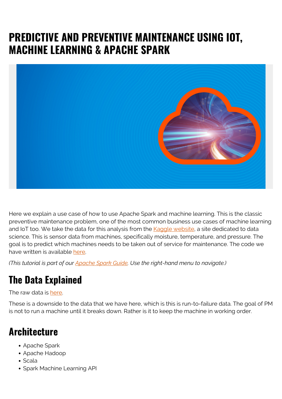# **PREDICTIVE AND PREVENTIVE MAINTENANCE USING IOT, MACHINE LEARNING & APACHE SPARK**



Here we explain a use case of how to use Apache Spark and machine learning. This is the classic preventive maintenance problem, one of the most common business use cases of machine learning and IoT too. We take the data for this analysis from the [Kaggle website](https://www.kaggle.com/brigoodwinan/survival-analysis-with-risk-curves), a site dedicated to data science. This is sensor data from machines, specifically moisture, temperature, and pressure. The goal is to predict which machines needs to be taken out of service for maintenance. The code we have written is available [here.](https://github.com/werowe/preventiveMaintenanceLogitReg)

*(This tutorial is part of our [Apache Spark Guide.](https://blogs.bmc.com/blogs/introduction-to-sparks-machine-learning-pipeline/) Use the right-hand menu to navigate.)*

## **The Data Explained**

The raw data is [here](https://raw.githubusercontent.com/werowe/preventiveMaintenanceLogitReg/master/maintenance_data.csv).

These is a downside to the data that we have here, which is this is run-to-failure data. The goal of PM is not to run a machine until it breaks down. Rather is it to keep the machine in working order.

#### **Architecture**

- Apache Spark
- Apache Hadoop
- Scala
- Spark Machine Learning API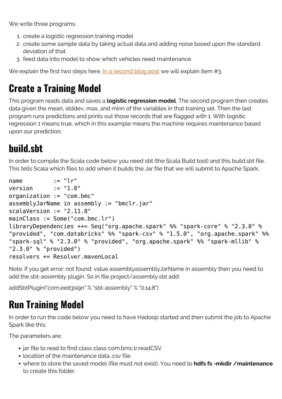We write three programs:

- 1. create a logistic regression training model
- 2. create some sample data by taking actual data and adding noise based upon the standard deviation of that
- 3. feed data into model to show which vehicles need maintenance

We explain the first two steps here. [In a second blog post](https://www.bmc.com/blogs/how-to-use-apache-spark-to-make-predictions-for-preventive-maintenance/) we will explain item #3.

## **Create a Training Model**

This program reads data and saves a **logistic regression model**. The second program then creates data given the mean, stddev, max, and minn of the variables in that training set. Then the last program runs predictions and prints out those records that are flagged with 1. With logistic regression 1 means true, which in this example means the machine requires maintenance based upon our prediction.

# **build.sbt**

In order to compile the Scala code below you need sbt (the Scala Build tool) and this build.sbt file. This tells Scala which files to add when it builds the Jar file that we will submit to Apache Spark.

```
name := "l r"version := "1.0"
organization := "com.bmc"
assemblyJarName in assembly := "bmclr.jar"
scalaVersion := "2.11.8"
mainClass := Some("com.bmc.lr")
libraryDependencies ++= Seq("org.apache.spark" %% "spark-core" % "2.3.0" %
"provided", "com.databricks" %% "spark-csv" % "1.5.0", "org.apache.spark" %%
"spark-sql" % "2.3.0" % "provided", "org.apache.spark" %% "spark-mllib" %
"2.3.0" % "provided")
resolvers += Resolver.mavenLocal
```
Note: if you get error: not found: value assemblyassemblyJarName in assembly then you need to add the sbt-assembly plugin. So in file project/assembly.sbt add:

addSbtPlugin("com.eed3si9n" % "sbt-assembly" % "0.14.8")

# **Run Training Model**

In order to run the code below you need to have Hadoop started and then submit the job to Apache Spark like this.

The parameters are:

- jar file to read to find class class com.bmc.lr.readCSV
- location of the maintenance data .csy file
- where to store the saved model (file must not exist). You need to **hdfs fs -mkdir /maintenance** to create this folder.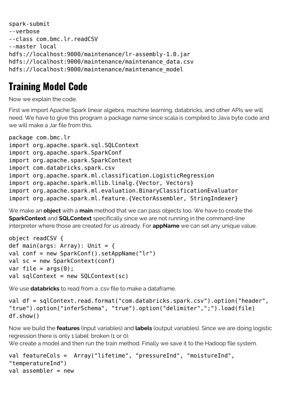```
spark-submit
--verbose
--class com.bmc.lr.readCSV
--master local
hdfs://localhost:9000/maintenance/lr-assembly-1.0.jar
hdfs://localhost:9000/maintenance/maintenance_data.csv
hdfs://localhost:9000/maintenance/maintenance_model
```
## **Training Model Code**

Now we explain the code.

First we import Apache Spark linear algebra, machine learning, databricks, and other APIs we will need. We have to give this program a package name since scala is compiled to Java byte code and we will make a Jar file from this.

```
package com.bmc.lr
import org.apache.spark.sql.SQLContext
import org.apache.spark.SparkConf
import org.apache.spark.SparkContext
import com.databricks.spark.csv
import org.apache.spark.ml.classification.LogisticRegression
import org.apache.spark.mllib.linalg.{Vector, Vectors}
import org.apache.spark.ml.evaluation.BinaryClassificationEvaluator
import org.apache.spark.ml.feature.{VectorAssembler, StringIndexer}
```
We make an **object** with a **main** method that we can pass objects too. We have to create the **SparkContext** and **SQLContext** specifically since we are not running in the command-line interpreter where those are created for us already. For **appName** we can set any unique value.

```
object readCSV {
def main(args: Array): Unit = {
val conf = new SparkConf().setAppName("lr")
val sc = new SparkContext(conf)
var file = \arccos(\theta):
val sqlContext = new SQLContext (sc)
```
We use **databricks** to read from a .csv file to make a dataframe.

```
val df = sqlContext.read.format("com.databricks.spark.csv").option("header",
"true").option("inferSchema", "true").option("delimiter",";").load(file)
df.show()
```
Now we build the **features** (input variables) and **labels** (output variables). Since we are doing logistic regression there is only 1 label: broken (1 or 0).

We create a model and then run the train method. Finally we save it to the Hadoop file system.

```
val featureCols = Array("lifetime", "pressureInd", "moistureInd",
"temperatureInd")
val assembler = new
```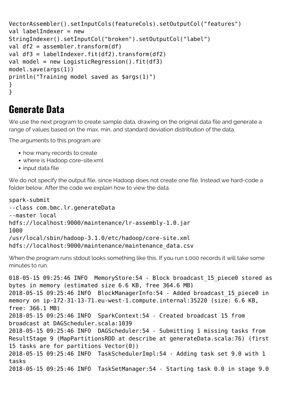```
VectorAssembler().setInputCols(featureCols).setOutputCol("features")
val labelIndexer = new
StringIndexer().setInputCol("broken").setOutputCol("label")
val df2 = assembler.transform(df)
val df3 = labelIndexer.fit(df2).transform(df2)
val model = new LogisticRegression().fit(df3)
model.save(args(1))
println("Training model saved as $args(1)")
}
}
```
#### **Generate Data**

We use the next program to create sample data, drawing on the original data file and generate a range of values based on the max, min, and standard deviation distribution of the data.

The arguments to this program are:

- how many records to create
- where is Hadoop core-site.xml
- input data file

We do not specify the output file, since Hadoop does not create one file. Instead we hard-code a folder below. After the code we explain how to view the data.

```
spark-submit
--class com.bmc.lr.generateData
--master local
hdfs://localhost:9000/maintenance/lr-assembly-1.0.jar
1000
/usr/local/sbin/hadoop-3.1.0/etc/hadoop/core-site.xml
hdfs://localhost:9000/maintenance/maintenance_data.csv
```
When the program runs stdout looks something like this. If you run 1,000 records it will take some minutes to run.

```
018-05-15 09:25:46 INFO MemoryStore:54 - Block broadcast_15_piece0 stored as
bytes in memory (estimated size 6.6 KB, free 364.6 MB)
2018-05-15 09:25:46 INFO BlockManagerInfo:54 - Added broadcast_15_piece0 in
memory on ip-172-31-13-71.eu-west-1.compute.internal:35220 (size: 6.6 KB,
free: 366.1 MB)
2018-05-15 09:25:46 INFO SparkContext:54 - Created broadcast 15 from
broadcast at DAGScheduler.scala:1039
2018-05-15 09:25:46 INFO DAGScheduler:54 - Submitting 1 missing tasks from
ResultStage 9 (MapPartitionsRDD at describe at generateData.scala:76) (first
15 tasks are for partitions Vector(0))
2018-05-15 09:25:46 INFO TaskSchedulerImpl:54 - Adding task set 9.0 with 1
tasks
2018-05-15 09:25:46 INFO TaskSetManager:54 - Starting task 0.0 in stage 9.0
```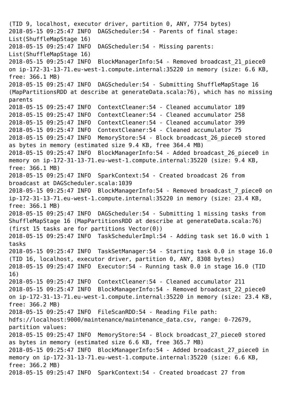(TID 9, localhost, executor driver, partition 0, ANY, 7754 bytes) 2018-05-15 09:25:47 INFO DAGScheduler:54 - Parents of final stage: List(ShuffleMapStage 16) 2018-05-15 09:25:47 INFO DAGScheduler:54 - Missing parents: List(ShuffleMapStage 16) 2018-05-15 09:25:47 INFO BlockManagerInfo:54 - Removed broadcast\_21\_piece0 on ip-172-31-13-71.eu-west-1.compute.internal:35220 in memory (size: 6.6 KB, free: 366.1 MB) 2018-05-15 09:25:47 INFO DAGScheduler:54 - Submitting ShuffleMapStage 16 (MapPartitionsRDD at describe at generateData.scala:76), which has no missing parents 2018-05-15 09:25:47 INFO ContextCleaner:54 - Cleaned accumulator 189 2018-05-15 09:25:47 INFO ContextCleaner:54 - Cleaned accumulator 258 2018-05-15 09:25:47 INFO ContextCleaner:54 - Cleaned accumulator 399 2018-05-15 09:25:47 INFO ContextCleaner:54 - Cleaned accumulator 75 2018-05-15 09:25:47 INFO MemoryStore:54 - Block broadcast\_26\_piece0 stored as bytes in memory (estimated size 9.4 KB, free 364.4 MB) 2018-05-15 09:25:47 INFO BlockManagerInfo:54 - Added broadcast\_26\_piece0 in memory on ip-172-31-13-71.eu-west-1.compute.internal:35220 (size: 9.4 KB, free: 366.1 MB) 2018-05-15 09:25:47 INFO SparkContext:54 - Created broadcast 26 from broadcast at DAGScheduler.scala:1039 2018-05-15 09:25:47 INFO BlockManagerInfo:54 - Removed broadcast\_7\_piece0 on ip-172-31-13-71.eu-west-1.compute.internal:35220 in memory (size: 23.4 KB, free: 366.1 MB) 2018-05-15 09:25:47 INFO DAGScheduler:54 - Submitting 1 missing tasks from ShuffleMapStage 16 (MapPartitionsRDD at describe at generateData.scala:76) (first 15 tasks are for partitions Vector(0)) 2018-05-15 09:25:47 INFO TaskSchedulerImpl:54 - Adding task set 16.0 with 1 tasks 2018-05-15 09:25:47 INFO TaskSetManager:54 - Starting task 0.0 in stage 16.0 (TID 16, localhost, executor driver, partition 0, ANY, 8308 bytes) 2018-05-15 09:25:47 INFO Executor:54 - Running task 0.0 in stage 16.0 (TID 16) 2018-05-15 09:25:47 INFO ContextCleaner:54 - Cleaned accumulator 211 2018-05-15 09:25:47 INFO BlockManagerInfo:54 - Removed broadcast\_22\_piece0 on ip-172-31-13-71.eu-west-1.compute.internal:35220 in memory (size: 23.4 KB, free: 366.2 MB) 2018-05-15 09:25:47 INFO FileScanRDD:54 - Reading File path: hdfs://localhost:9000/maintenance/maintenance\_data.csv, range: 0-72679, partition values: 2018-05-15 09:25:47 INFO MemoryStore:54 - Block broadcast\_27\_piece0 stored as bytes in memory (estimated size 6.6 KB, free 365.7 MB) 2018-05-15 09:25:47 INFO BlockManagerInfo:54 - Added broadcast\_27\_piece0 in memory on ip-172-31-13-71.eu-west-1.compute.internal:35220 (size: 6.6 KB, free: 366.2 MB) 2018-05-15 09:25:47 INFO SparkContext:54 - Created broadcast 27 from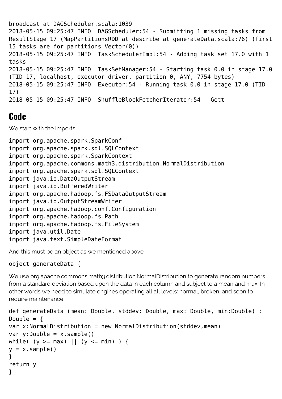broadcast at DAGScheduler.scala:1039 2018-05-15 09:25:47 INFO DAGScheduler:54 - Submitting 1 missing tasks from ResultStage 17 (MapPartitionsRDD at describe at generateData.scala:76) (first 15 tasks are for partitions  $Vector(\theta)$ ) 2018-05-15 09:25:47 INFO TaskSchedulerImpl:54 - Adding task set 17.0 with 1 tasks 2018-05-15 09:25:47 INFO TaskSetManager:54 - Starting task 0.0 in stage 17.0 (TID 17, localhost, executor driver, partition 0, ANY, 7754 bytes) 2018-05-15 09:25:47 INFO Executor:54 - Running task 0.0 in stage 17.0 (TID 17) 2018-05-15 09:25:47 INFO ShuffleBlockFetcherIterator:54 - Gett

#### **Code**

We start with the imports.

import org.apache.spark.SparkConf import org.apache.spark.sql.SQLContext import org.apache.spark.SparkContext import org.apache.commons.math3.distribution.NormalDistribution import org.apache.spark.sql.SQLContext import java.io.DataOutputStream import java.io.BufferedWriter import org.apache.hadoop.fs.FSDataOutputStream import java.io.OutputStreamWriter import org.apache.hadoop.conf.Configuration import org.apache.hadoop.fs.Path import org.apache.hadoop.fs.FileSystem import java.util.Date import java.text.SimpleDateFormat

And this must be an object as we mentioned above.

#### object generateData {

We use org.apache.commons.math3.distribution.NormalDistribution to generate random numbers from a standard deviation based upon the data in each column and subject to a mean and max. In other words we need to simulate engines operating all all levels: normal, broken, and soon to require maintenance.

```
def generateData (mean: Double, stddev: Double, max: Double, min:Double) :
Double = {
var x:NormalDistribution = new NormalDistribution(stddev,mean)var y:Double = x.sample()while( (y \ge max) || (y \le min) ) {
y = x. sample()
}
return y
}
```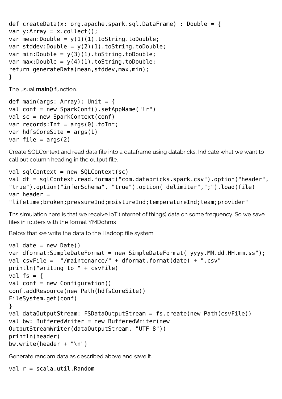```
def createData(x: org.apache.spark.sql.DataFrame) : Double = {
var y:Array = x.collect();
var mean:Double = y(1)(1).toString.toDouble;
var stddev:Double = y(2)(1).toString.toDouble;
var min:Double = y(3)(1).toString.toDouble;
var max:Double = y(4)(1).toString.toDouble;
return generateData(mean, stddev, max, min);
}
```
The usual **main()** function.

```
def main(args: Array): Unit = {
val conf = new SparkConf().setAppName("lr")
val sc = new SparkContext(conf)
var records: Int = args(0). toInt;
var hdfsCoreSite = args(1)var file = args(2)
```
Create SQLContext and read data file into a dataframe using databricks. Indicate what we want to call out column heading in the output file.

```
val sqlContext = new SQLContext (sc)
val df = sqlContext.read.format("com.databricks.spark.csv").option("header",
"true").option("inferSchema", "true").option("delimiter",";").load(file)
var header =
"lifetime;broken;pressureInd;moistureInd;temperatureInd;team;provider"
```
Ths simulation here is that we receive IoT (internet of things) data on some frequency. So we save files in folders with the format YMDdhms

Below that we write the data to the Hadoop file system.

```
val date = new Date()
var dformat:SimpleDateFormat = new SimpleDateFormat("yyyy.MM.dd.HH.mm.ss");
val csvFile = "/maintenance/" + dformat.format(date) + ".csv"
println("writing to " + csvFile)
val fs = \{val conf = new Configuration()
conf.addResource(new Path(hdfsCoreSite))
FileSystem.get(conf)
}
val dataOutputStream: FSDataOutputStream = fs.create(new Path(csvFile))
val bw: BufferedWriter = new BufferedWriter(new
OutputStreamWriter(dataOutputStream, "UTF-8"))
println(header)
bw.write(header + "\n")
```
Generate random data as described above and save it.

val r = scala.util.Random